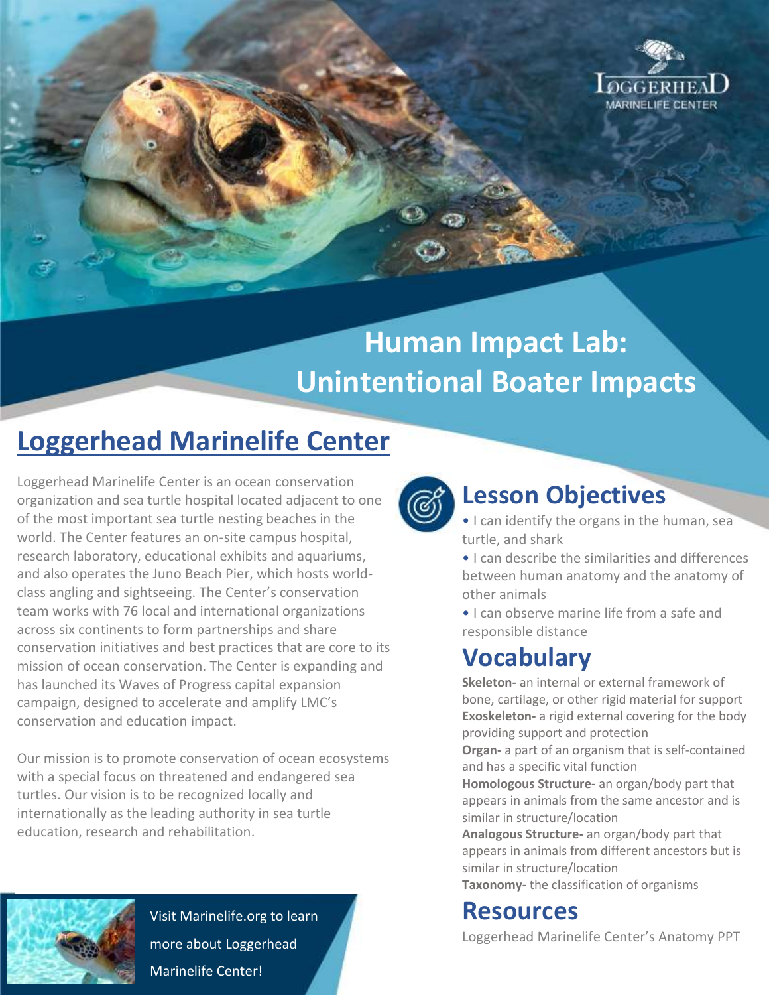

# **Human Impact Lab: Unintentional Boater Impacts**

## **Loggerhead Marinelife Center**

Loggerhead Marinelife Center is an ocean conservation organization and sea turtle hospital located adjacent to one of the most important sea turtle nesting beaches in the world. The Center features an on-site campus hospital, research laboratory, educational exhibits and aquariums, and also operates the Juno Beach Pier, which hosts worldclass angling and sightseeing. The Center's conservation team works with 76 local and international organizations across six continents to form partnerships and share conservation initiatives and best practices that are core to its mission of ocean conservation. The Center is expanding and has launched its Waves of Progress capital expansion campaign, designed to accelerate and amplify LMC's conservation and education impact.

Our mission is to promote conservation of ocean ecosystems with a special focus on threatened and endangered sea turtles. Our vision is to be recognized locally and internationally as the leading authority in sea turtle education, research and rehabilitation.



Visit Marinelife.org to learn more about Loggerhead Marinelife Center!



#### **Lesson Objectives**

• I can identify the organs in the human, sea turtle, and shark

• I can describe the similarities and differences between human anatomy and the anatomy of other animals

• I can observe marine life from a safe and responsible distance

### **Vocabulary**

**Skeleton-** an internal or external framework of bone, cartilage, or other rigid material for support **Exoskeleton-** a rigid external covering for the body providing support and protection

**Organ-** a part of an organism that is self-contained and has a specific vital function

**Homologous Structure-** an organ/body part that appears in animals from the same ancestor and is similar in structure/location

**Analogous Structure-** an organ/body part that appears in animals from different ancestors but is similar in structure/location

**Taxonomy-** the classification of organisms

#### **Resources**

Loggerhead Marinelife Center's Anatomy PPT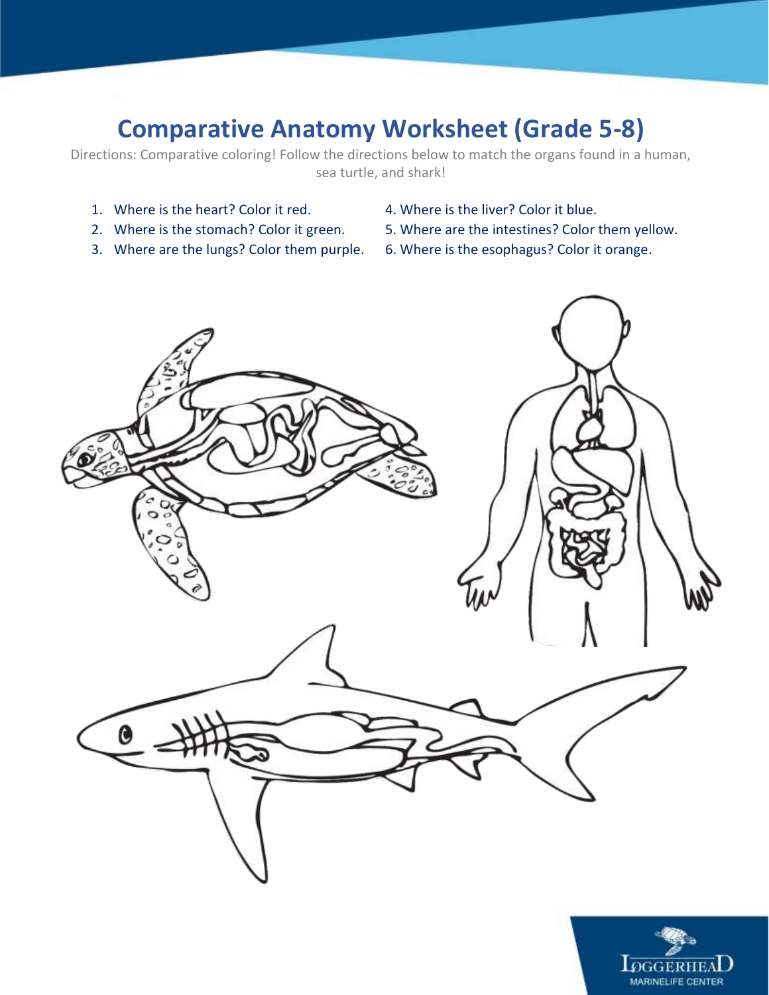### **Comparative Anatomy Worksheet (Grade 5-8)**

Directions: Comparative coloring! Follow the directions below to match the organs found in a human, sea turtle, and shark!

- 
- 
- 
- 1. Where is the heart? Color it red. 4. Where is the liver? Color it blue.
- 2. Where is the stomach? Color it green. 5. Where are the intestines? Color them yellow.
- 3. Where are the lungs? Color them purple. 6. Where is the esophagus? Color it orange.